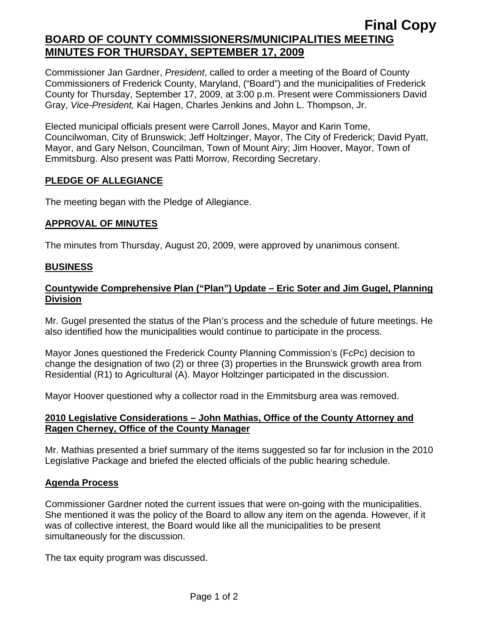# **Final Copy BOARD OF COUNTY COMMISSIONERS/MUNICIPALITIES MEETING MINUTES FOR THURSDAY, SEPTEMBER 17, 2009**

Commissioner Jan Gardner, *President*, called to order a meeting of the Board of County Commissioners of Frederick County, Maryland, ("Board") and the municipalities of Frederick County for Thursday, September 17, 2009, at 3:00 p.m. Present were Commissioners David Gray, *Vice-President,* Kai Hagen, Charles Jenkins and John L. Thompson, Jr.

Elected municipal officials present were Carroll Jones, Mayor and Karin Tome, Councilwoman, City of Brunswick; Jeff Holtzinger, Mayor, The City of Frederick; David Pyatt, Mayor, and Gary Nelson, Councilman, Town of Mount Airy; Jim Hoover, Mayor, Town of Emmitsburg. Also present was Patti Morrow, Recording Secretary.

#### **PLEDGE OF ALLEGIANCE**

The meeting began with the Pledge of Allegiance.

### **APPROVAL OF MINUTES**

The minutes from Thursday, August 20, 2009, were approved by unanimous consent.

### **BUSINESS**

### **Countywide Comprehensive Plan ("Plan") Update – Eric Soter and Jim Gugel, Planning Division**

Mr. Gugel presented the status of the Plan's process and the schedule of future meetings. He also identified how the municipalities would continue to participate in the process.

Mayor Jones questioned the Frederick County Planning Commission's (FcPc) decision to change the designation of two (2) or three (3) properties in the Brunswick growth area from Residential (R1) to Agricultural (A). Mayor Holtzinger participated in the discussion.

Mayor Hoover questioned why a collector road in the Emmitsburg area was removed.

### **2010 Legislative Considerations – John Mathias, Office of the County Attorney and Ragen Cherney, Office of the County Manager**

Mr. Mathias presented a brief summary of the items suggested so far for inclusion in the 2010 Legislative Package and briefed the elected officials of the public hearing schedule.

#### **Agenda Process**

Commissioner Gardner noted the current issues that were on-going with the municipalities. She mentioned it was the policy of the Board to allow any item on the agenda. However, if it was of collective interest, the Board would like all the municipalities to be present simultaneously for the discussion.

The tax equity program was discussed.